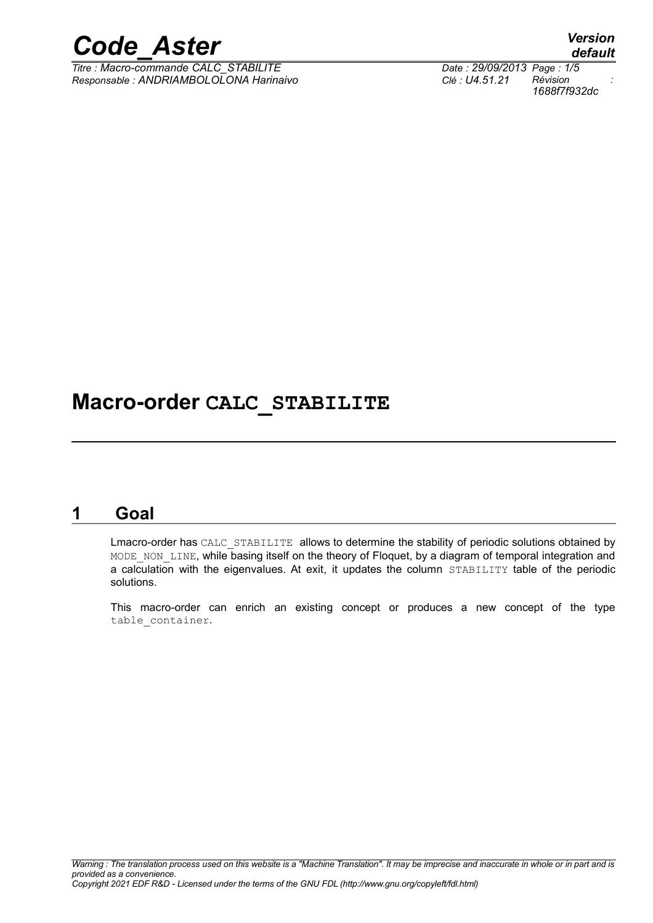

*Titre : Macro-commande CALC\_STABILITE Date : 29/09/2013 Page : 1/5 Responsable : ANDRIAMBOLOLONA Harinaivo Clé : U4.51.21 Révision :*

*default 1688f7f932dc*

## **Macro-order CALC\_STABILITE**

### **1 Goal**

Lmacro-order has CALC\_STABILITE allows to determine the stability of periodic solutions obtained by MODE NON LINE, while basing itself on the theory of Floquet, by a diagram of temporal integration and a calculation with the eigenvalues. At exit, it updates the column STABILITY table of the periodic solutions.

This macro-order can enrich an existing concept or produces a new concept of the type table\_container.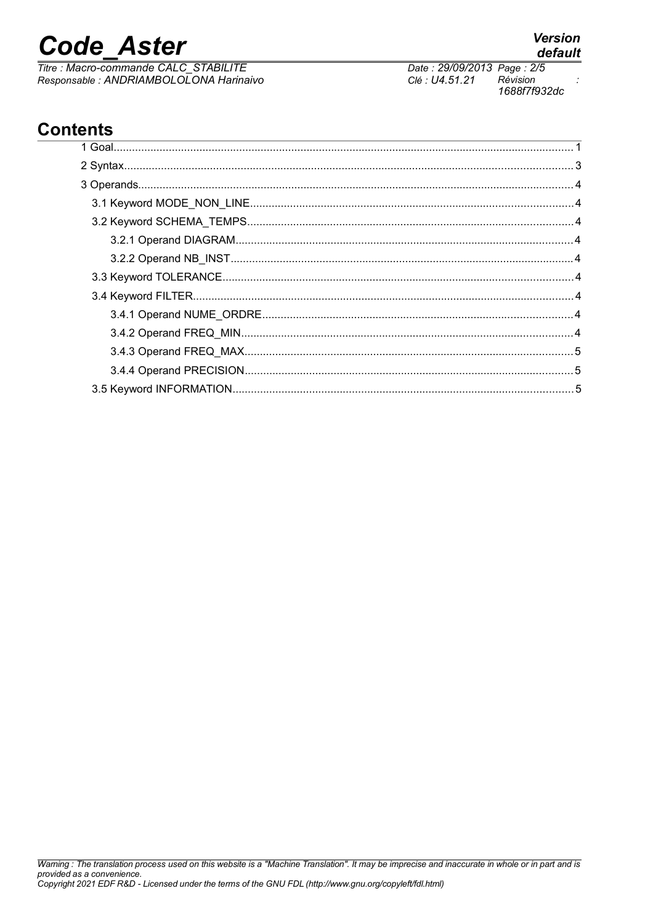# **Code Aster**

Titre : Macro-commande CALC\_STABILITE Responsable : ANDRIAMBOLOLONA Harinaivo

Clé : U4.51.21 Révision 1688f7f932dc

Date: 29/09/2013 Page: 2/5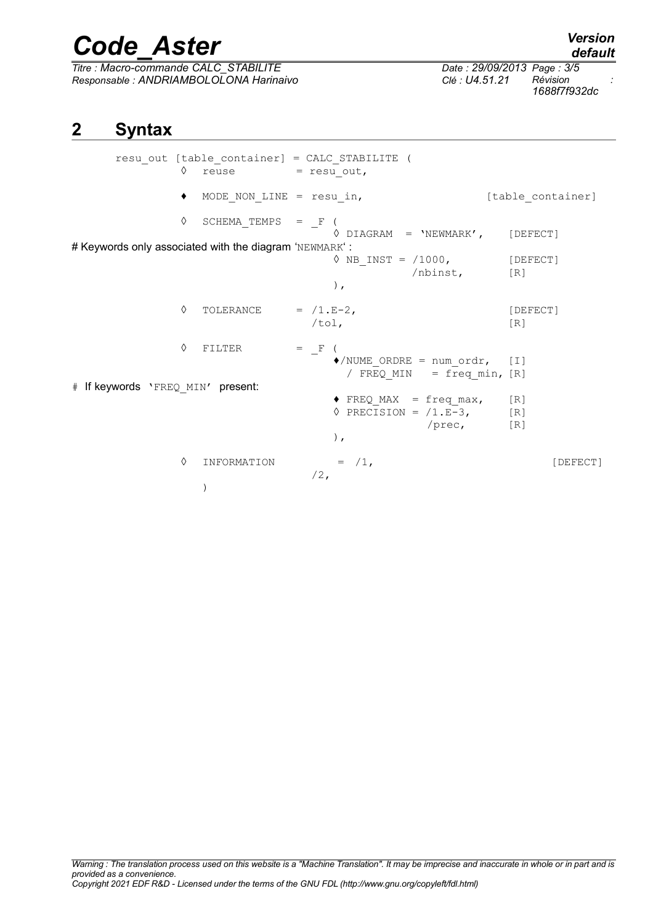# *Code\_Aster Version*

*Titre : Macro-commande CALC\_STABILITE Date : 29/09/2013 Page : 3/5 Responsable : ANDRIAMBOLOLONA Harinaivo Clé : U4.51.21 Révision :*

*1688f7f932dc*

## **2 Syntax**

|                                                        | ♦ | resu out [table container] = CALC STABILITE (<br>$reuse = resu out,$ |                      |                                                                                                           |                   |
|--------------------------------------------------------|---|----------------------------------------------------------------------|----------------------|-----------------------------------------------------------------------------------------------------------|-------------------|
|                                                        | ٠ | MODE NON LINE = $resu$ in,                                           |                      |                                                                                                           | [table container] |
|                                                        | ♦ | $SCHEMA_TEMPS = F ($                                                 |                      | $\Diamond$ DIAGRAM = 'NEWMARK', [DEFECT]                                                                  |                   |
| # Keywords only associated with the diagram 'NEWMARK': |   |                                                                      |                      | $\Diamond$ NB INST = $/1000$ , [DEFECT]<br>/nbinst, [R]<br>$\,$ ,                                         |                   |
|                                                        | ♦ | TOLERANCE                                                            | $= /1.E-2,$<br>/tol, |                                                                                                           | [DEFECT]<br>[R]   |
| # If keywords 'FREQ MIN' present:                      | ♦ | FILTER                                                               | $=$ $\mathbb{F}$ (   | $\bullet$ /NUME ORDRE = num ordr, [I]<br>/ FREQ MIN = freq min, $[R]$                                     |                   |
|                                                        |   |                                                                      |                      | $\blacklozenge$ FREQ MAX = freq max, [R]<br>$\Diamond$ PRECISION = $/1.E-3$ , [R]<br>/prec, [R]<br>$\,$ , |                   |
|                                                        | ♦ | INFORMATION                                                          | $/2$ ,               | $=$ $/1$ ,                                                                                                | [DEFECT]          |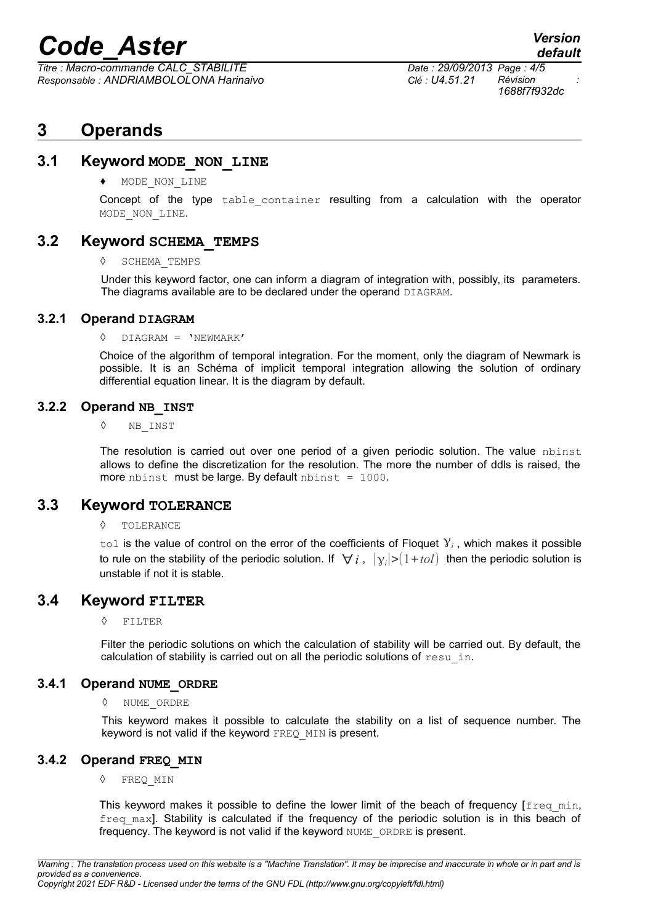# *Code\_Aster Version*

*Titre : Macro-commande CALC\_STABILITE Date : 29/09/2013 Page : 4/5 Responsable : ANDRIAMBOLOLONA Harinaivo Clé : U4.51.21 Révision :*

### **3 Operands**

#### **3.1 Keyword MODE\_NON\_LINE**

♦ MODE\_NON\_LINE

Concept of the type table container resulting from a calculation with the operator MODE NON LINE.

#### **3.2 Keyword SCHEMA\_TEMPS**

#### SCHEMA TEMPS

Under this keyword factor, one can inform a diagram of integration with, possibly, its parameters. The diagrams available are to be declared under the operand DIAGRAM.

#### **3.2.1 Operand DIAGRAM**

#### ◊ DIAGRAM = 'NEWMARK'

Choice of the algorithm of temporal integration. For the moment, only the diagram of Newmark is possible. It is an Schéma of implicit temporal integration allowing the solution of ordinary differential equation linear. It is the diagram by default.

#### **3.2.2 Operand NB\_INST**

#### ◊ NB\_INST

The resolution is carried out over one period of a given periodic solution. The value nbinst allows to define the discretization for the resolution. The more the number of ddls is raised, the more nbinst must be large. By default  $n$ binst = 1000.

#### **3.3 Keyword TOLERANCE**

◊ TOLERANCE

tol is the value of control on the error of the coefficients of Floquet γ*<sup>i</sup>* , which makes it possible to rule on the stability of the periodic solution. If  $\forall i$ ,  $|\gamma_i|>(1+t_0i)$  then the periodic solution is unstable if not it is stable.

#### **3.4 Keyword FILTER**

◊ FILTER

Filter the periodic solutions on which the calculation of stability will be carried out. By default, the calculation of stability is carried out on all the periodic solutions of  $r$ esu in.

#### **3.4.1 Operand NUME\_ORDRE**

#### ◊ NUME\_ORDRE

This keyword makes it possible to calculate the stability on a list of sequence number. The keyword is not valid if the keyword FREQ MIN is present.

#### **3.4.2 Operand FREQ\_MIN**

#### ◊ FREQ\_MIN

This keyword makes it possible to define the lower limit of the beach of frequency  $\lceil \text{freq min} \rceil$  $f$ req max]. Stability is calculated if the frequency of the periodic solution is in this beach of frequency. The keyword is not valid if the keyword NUME\_ORDRE is present.